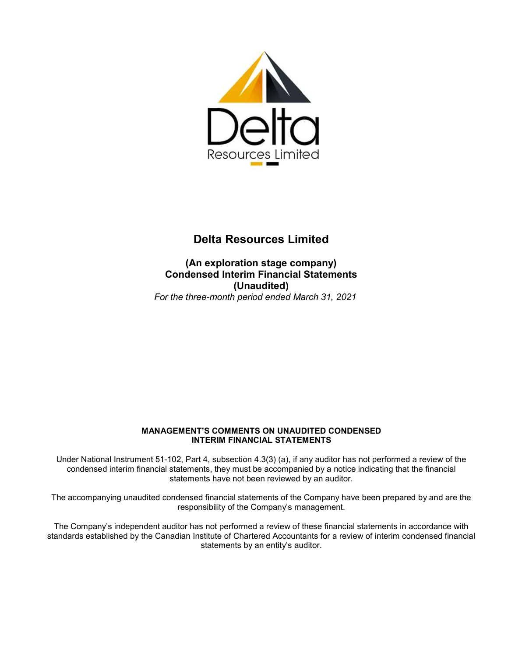

**(An exploration stage company) Condensed Interim Financial Statements (Unaudited)**  *For the three-month period ended March 31, 2021* 

# **MANAGEMENT'S COMMENTS ON UNAUDITED CONDENSED INTERIM FINANCIAL STATEMENTS**

Under National Instrument 51-102, Part 4, subsection 4.3(3) (a), if any auditor has not performed a review of the condensed interim financial statements, they must be accompanied by a notice indicating that the financial statements have not been reviewed by an auditor.

The accompanying unaudited condensed financial statements of the Company have been prepared by and are the responsibility of the Company's management.

The Company's independent auditor has not performed a review of these financial statements in accordance with standards established by the Canadian Institute of Chartered Accountants for a review of interim condensed financial statements by an entity's auditor.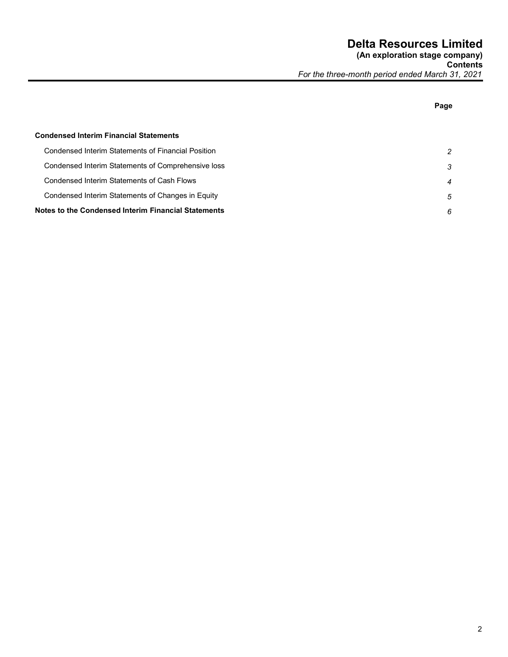**Page** 

# **Condensed Interim Financial Statements**  Condensed Interim Statements of Financial Position *2*  Condensed Interim Statements of Comprehensive loss *3*  Condensed Interim Statements of Cash Flows *4*  Condensed Interim Statements of Changes in Equity *5*  **Notes to the Condensed Interim Financial Statements** *6*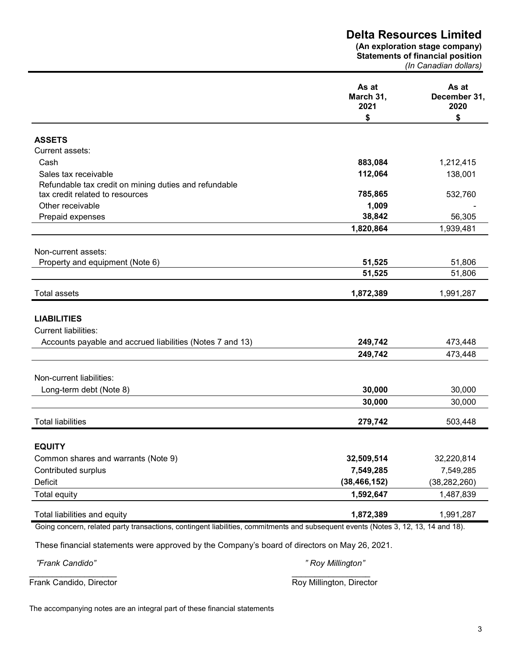**(An exploration stage company) Statements of financial position** 

*(In Canadian dollars)* 

|                                                                                                                                    | As at<br>March 31,<br>2021 | As at<br>December 31,<br>2020 |
|------------------------------------------------------------------------------------------------------------------------------------|----------------------------|-------------------------------|
|                                                                                                                                    | \$                         | \$                            |
|                                                                                                                                    |                            |                               |
| <b>ASSETS</b><br>Current assets:                                                                                                   |                            |                               |
| Cash                                                                                                                               | 883,084                    |                               |
| Sales tax receivable                                                                                                               | 112,064                    | 1,212,415<br>138,001          |
| Refundable tax credit on mining duties and refundable                                                                              |                            |                               |
| tax credit related to resources                                                                                                    | 785,865                    | 532,760                       |
| Other receivable                                                                                                                   | 1,009                      |                               |
| Prepaid expenses                                                                                                                   | 38,842                     | 56,305                        |
|                                                                                                                                    | 1,820,864                  | 1,939,481                     |
|                                                                                                                                    |                            |                               |
| Non-current assets:                                                                                                                |                            |                               |
| Property and equipment (Note 6)                                                                                                    | 51,525                     | 51,806                        |
|                                                                                                                                    | 51,525                     | 51,806                        |
| <b>Total assets</b>                                                                                                                | 1,872,389                  | 1,991,287                     |
|                                                                                                                                    |                            |                               |
| <b>LIABILITIES</b>                                                                                                                 |                            |                               |
| <b>Current liabilities:</b>                                                                                                        |                            |                               |
| Accounts payable and accrued liabilities (Notes 7 and 13)                                                                          | 249,742                    | 473,448                       |
|                                                                                                                                    | 249,742                    | 473,448                       |
|                                                                                                                                    |                            |                               |
| Non-current liabilities:                                                                                                           |                            |                               |
| Long-term debt (Note 8)                                                                                                            | 30,000                     | 30,000                        |
|                                                                                                                                    | 30,000                     | 30,000                        |
|                                                                                                                                    |                            |                               |
| <b>Total liabilities</b>                                                                                                           | 279,742                    | 503,448                       |
|                                                                                                                                    |                            |                               |
| <b>EQUITY</b>                                                                                                                      |                            |                               |
| Common shares and warrants (Note 9)                                                                                                | 32,509,514                 | 32,220,814                    |
| Contributed surplus                                                                                                                | 7,549,285                  | 7,549,285                     |
| Deficit                                                                                                                            | (38, 466, 152)             | (38, 282, 260)                |
| Total equity                                                                                                                       | 1,592,647                  | 1,487,839                     |
| Total liabilities and equity                                                                                                       | 1,872,389                  | 1,991,287                     |
| Going concern, related party transactions, contingent liabilities, commitments and subsequent events (Notes 3, 12, 13, 14 and 18). |                            |                               |
|                                                                                                                                    |                            |                               |
| These financial statements were approved by the Company's board of directors on May 26, 2021.                                      |                            |                               |
| "Frank Candido"                                                                                                                    | " Roy Millington"          |                               |

\_\_\_\_\_\_\_\_\_\_\_\_\_\_\_\_\_\_\_ \_\_\_\_\_\_\_\_\_\_\_\_\_\_\_\_\_ Frank Candido, Director **Roy Millington, Director** Roy Millington, Director

The accompanying notes are an integral part of these financial statements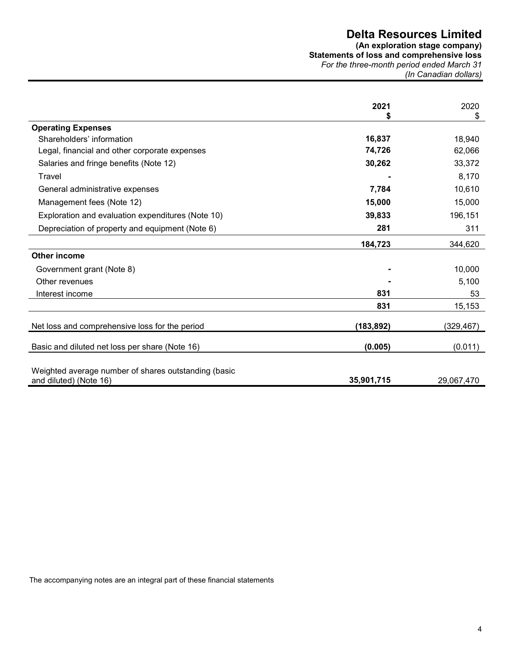**(An exploration stage company) Statements of loss and comprehensive loss**  *For the three-month period ended March 31 (In Canadian dollars)* 

|                                                                                | 2021       | 2020<br>\$ |
|--------------------------------------------------------------------------------|------------|------------|
| <b>Operating Expenses</b>                                                      |            |            |
| Shareholders' information                                                      | 16,837     | 18,940     |
| Legal, financial and other corporate expenses                                  | 74,726     | 62,066     |
| Salaries and fringe benefits (Note 12)                                         | 30,262     | 33,372     |
| Travel                                                                         |            | 8,170      |
| General administrative expenses                                                | 7,784      | 10,610     |
| Management fees (Note 12)                                                      | 15,000     | 15,000     |
| Exploration and evaluation expenditures (Note 10)                              | 39,833     | 196,151    |
| Depreciation of property and equipment (Note 6)                                | 281        | 311        |
|                                                                                | 184,723    |            |
| <b>Other income</b>                                                            |            | 344,620    |
|                                                                                |            |            |
| Government grant (Note 8)                                                      |            | 10,000     |
| Other revenues                                                                 |            | 5,100      |
| Interest income                                                                | 831        | 53         |
|                                                                                | 831        | 15,153     |
| Net loss and comprehensive loss for the period                                 | (183, 892) | (329, 467) |
| Basic and diluted net loss per share (Note 16)                                 | (0.005)    | (0.011)    |
| Weighted average number of shares outstanding (basic<br>and diluted) (Note 16) | 35,901,715 | 29,067,470 |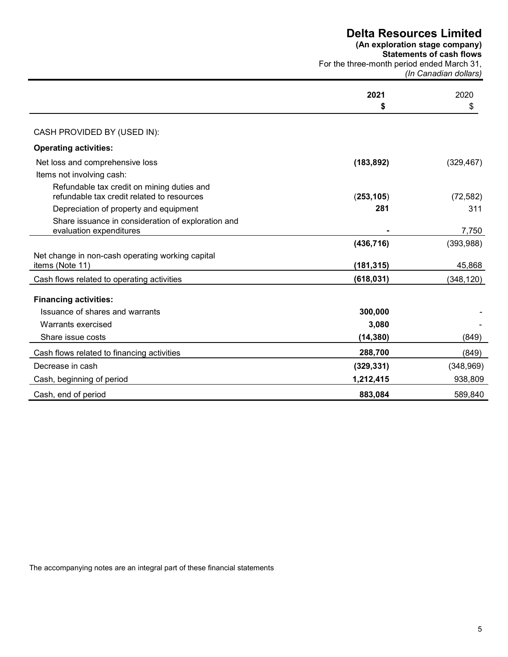**(An exploration stage company)** 

**Statements of cash flows** 

For the three-month period ended March 31, *(In Canadian dollars)* 

|                                                                                          | 2021<br>\$ | 2020<br>\$ |
|------------------------------------------------------------------------------------------|------------|------------|
| CASH PROVIDED BY (USED IN):                                                              |            |            |
| <b>Operating activities:</b>                                                             |            |            |
| Net loss and comprehensive loss                                                          | (183, 892) | (329, 467) |
| Items not involving cash:                                                                |            |            |
| Refundable tax credit on mining duties and<br>refundable tax credit related to resources | (253, 105) | (72, 582)  |
| Depreciation of property and equipment                                                   | 281        | 311        |
| Share issuance in consideration of exploration and<br>evaluation expenditures            |            | 7,750      |
|                                                                                          | (436, 716) | (393,988)  |
| Net change in non-cash operating working capital<br>items (Note 11)                      | (181, 315) | 45,868     |
| Cash flows related to operating activities                                               | (618, 031) | (348, 120) |
| <b>Financing activities:</b>                                                             |            |            |
| Issuance of shares and warrants                                                          | 300,000    |            |
| Warrants exercised                                                                       | 3,080      |            |
| Share issue costs                                                                        | (14, 380)  | (849)      |
| Cash flows related to financing activities                                               | 288,700    | (849)      |
| Decrease in cash                                                                         | (329, 331) | (348, 969) |
| Cash, beginning of period                                                                | 1,212,415  | 938,809    |
| Cash, end of period                                                                      | 883,084    | 589,840    |

The accompanying notes are an integral part of these financial statements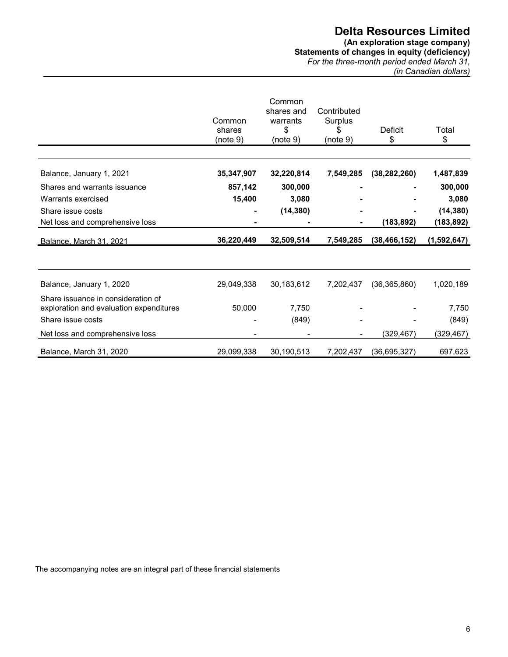**(An exploration stage company) Statements of changes in equity (deficiency)**  *For the three-month period ended March 31, (in Canadian dollars)*

|                                                                               | Common<br>shares<br>(note 9) | Common<br>shares and<br>warrants<br>\$<br>(note 9) | Contributed<br>Surplus<br>\$<br>(note 9) | Deficit<br>\$  | Total<br>\$ |
|-------------------------------------------------------------------------------|------------------------------|----------------------------------------------------|------------------------------------------|----------------|-------------|
|                                                                               |                              |                                                    |                                          |                |             |
| Balance, January 1, 2021                                                      | 35,347,907                   | 32,220,814                                         | 7,549,285                                | (38, 282, 260) | 1,487,839   |
| Shares and warrants issuance                                                  | 857,142                      | 300,000                                            |                                          |                | 300,000     |
| Warrants exercised                                                            | 15,400                       | 3,080                                              |                                          |                | 3,080       |
| Share issue costs                                                             | ۰                            | (14, 380)                                          |                                          |                | (14, 380)   |
| Net loss and comprehensive loss                                               |                              |                                                    |                                          | (183, 892)     | (183,892)   |
| Balance, March 31, 2021                                                       | 36,220,449                   | 32,509,514                                         | 7,549,285                                | (38, 466, 152) | (1,592,647) |
|                                                                               |                              |                                                    |                                          |                |             |
| Balance, January 1, 2020                                                      | 29,049,338                   | 30,183,612                                         | 7,202,437                                | (36, 365, 860) | 1,020,189   |
| Share issuance in consideration of<br>exploration and evaluation expenditures | 50,000                       | 7,750                                              |                                          |                | 7,750       |
| Share issue costs                                                             |                              | (849)                                              |                                          |                | (849)       |
| Net loss and comprehensive loss                                               |                              |                                                    |                                          | (329,467)      | (329, 467)  |
| Balance, March 31, 2020                                                       | 29,099,338                   | 30,190,513                                         | 7,202,437                                | (36, 695, 327) | 697,623     |

The accompanying notes are an integral part of these financial statements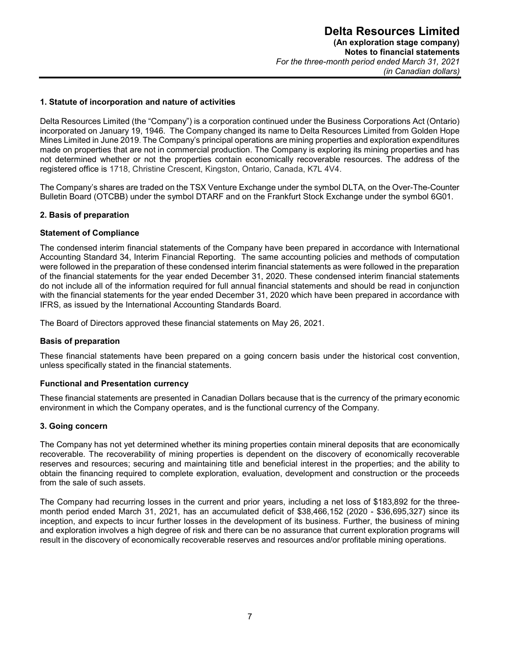#### **1. Statute of incorporation and nature of activities**

Delta Resources Limited (the "Company") is a corporation continued under the Business Corporations Act (Ontario) incorporated on January 19, 1946. The Company changed its name to Delta Resources Limited from Golden Hope Mines Limited in June 2019. The Company's principal operations are mining properties and exploration expenditures made on properties that are not in commercial production. The Company is exploring its mining properties and has not determined whether or not the properties contain economically recoverable resources. The address of the registered office is 1718, Christine Crescent, Kingston, Ontario, Canada, K7L 4V4.

The Company's shares are traded on the TSX Venture Exchange under the symbol DLTA, on the Over-The-Counter Bulletin Board (OTCBB) under the symbol DTARF and on the Frankfurt Stock Exchange under the symbol 6G01.

#### **2. Basis of preparation**

#### **Statement of Compliance**

The condensed interim financial statements of the Company have been prepared in accordance with International Accounting Standard 34, Interim Financial Reporting. The same accounting policies and methods of computation were followed in the preparation of these condensed interim financial statements as were followed in the preparation of the financial statements for the year ended December 31, 2020. These condensed interim financial statements do not include all of the information required for full annual financial statements and should be read in conjunction with the financial statements for the year ended December 31, 2020 which have been prepared in accordance with IFRS, as issued by the International Accounting Standards Board.

The Board of Directors approved these financial statements on May 26, 2021.

#### **Basis of preparation**

These financial statements have been prepared on a going concern basis under the historical cost convention, unless specifically stated in the financial statements.

#### **Functional and Presentation currency**

These financial statements are presented in Canadian Dollars because that is the currency of the primary economic environment in which the Company operates, and is the functional currency of the Company.

#### **3. Going concern**

The Company has not yet determined whether its mining properties contain mineral deposits that are economically recoverable. The recoverability of mining properties is dependent on the discovery of economically recoverable reserves and resources; securing and maintaining title and beneficial interest in the properties; and the ability to obtain the financing required to complete exploration, evaluation, development and construction or the proceeds from the sale of such assets.

The Company had recurring losses in the current and prior years, including a net loss of \$183,892 for the threemonth period ended March 31, 2021, has an accumulated deficit of \$38,466,152 (2020 - \$36,695,327) since its inception, and expects to incur further losses in the development of its business. Further, the business of mining and exploration involves a high degree of risk and there can be no assurance that current exploration programs will result in the discovery of economically recoverable reserves and resources and/or profitable mining operations.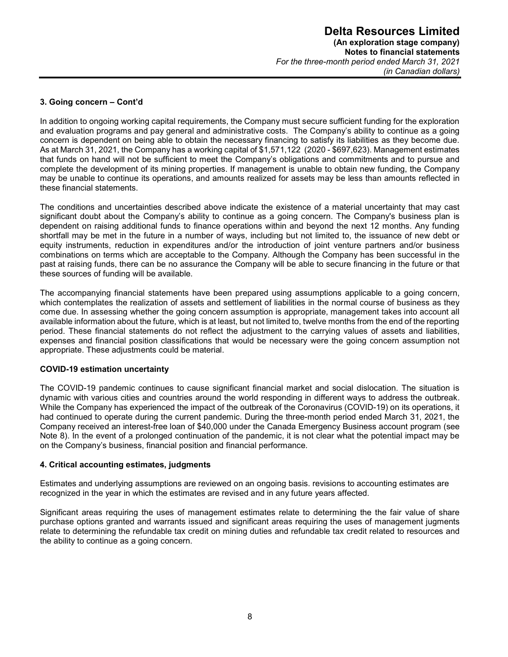### **3. Going concern – Cont'd**

In addition to ongoing working capital requirements, the Company must secure sufficient funding for the exploration and evaluation programs and pay general and administrative costs. The Company's ability to continue as a going concern is dependent on being able to obtain the necessary financing to satisfy its liabilities as they become due. As at March 31, 2021, the Company has a working capital of \$1,571,122 (2020 - \$697,623). Management estimates that funds on hand will not be sufficient to meet the Company's obligations and commitments and to pursue and complete the development of its mining properties. If management is unable to obtain new funding, the Company may be unable to continue its operations, and amounts realized for assets may be less than amounts reflected in these financial statements.

The conditions and uncertainties described above indicate the existence of a material uncertainty that may cast significant doubt about the Company's ability to continue as a going concern. The Company's business plan is dependent on raising additional funds to finance operations within and beyond the next 12 months. Any funding shortfall may be met in the future in a number of ways, including but not limited to, the issuance of new debt or equity instruments, reduction in expenditures and/or the introduction of joint venture partners and/or business combinations on terms which are acceptable to the Company. Although the Company has been successful in the past at raising funds, there can be no assurance the Company will be able to secure financing in the future or that these sources of funding will be available.

The accompanying financial statements have been prepared using assumptions applicable to a going concern, which contemplates the realization of assets and settlement of liabilities in the normal course of business as they come due. In assessing whether the going concern assumption is appropriate, management takes into account all available information about the future, which is at least, but not limited to, twelve months from the end of the reporting period. These financial statements do not reflect the adjustment to the carrying values of assets and liabilities, expenses and financial position classifications that would be necessary were the going concern assumption not appropriate. These adjustments could be material.

#### **COVID-19 estimation uncertainty**

The COVID-19 pandemic continues to cause significant financial market and social dislocation. The situation is dynamic with various cities and countries around the world responding in different ways to address the outbreak. While the Company has experienced the impact of the outbreak of the Coronavirus (COVID-19) on its operations, it had continued to operate during the current pandemic. During the three-month period ended March 31, 2021, the Company received an interest-free loan of \$40,000 under the Canada Emergency Business account program (see Note 8). In the event of a prolonged continuation of the pandemic, it is not clear what the potential impact may be on the Company's business, financial position and financial performance.

#### **4. Critical accounting estimates, judgments**

Estimates and underlying assumptions are reviewed on an ongoing basis. revisions to accounting estimates are recognized in the year in which the estimates are revised and in any future years affected.

Significant areas requiring the uses of management estimates relate to determining the the fair value of share purchase options granted and warrants issued and significant areas requiring the uses of management jugments relate to determining the refundable tax credit on mining duties and refundable tax credit related to resources and the ability to continue as a going concern.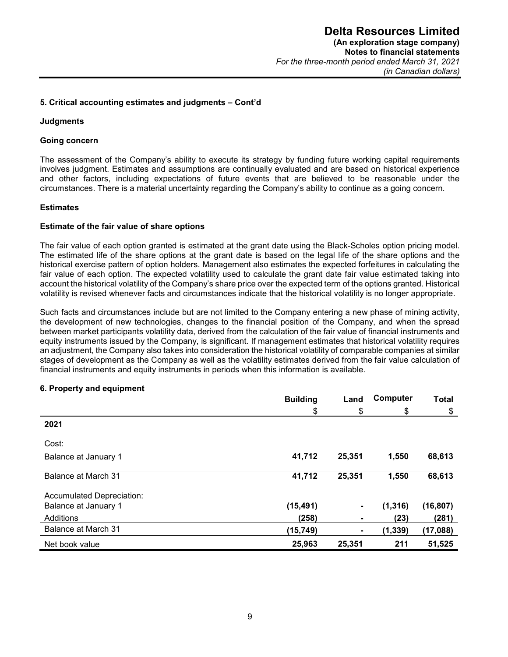#### **5. Critical accounting estimates and judgments – Cont'd**

#### **Judgments**

#### **Going concern**

The assessment of the Company's ability to execute its strategy by funding future working capital requirements involves judgment. Estimates and assumptions are continually evaluated and are based on historical experience and other factors, including expectations of future events that are believed to be reasonable under the circumstances. There is a material uncertainty regarding the Company's ability to continue as a going concern.

#### **Estimates**

#### **Estimate of the fair value of share options**

The fair value of each option granted is estimated at the grant date using the Black-Scholes option pricing model. The estimated life of the share options at the grant date is based on the legal life of the share options and the historical exercise pattern of option holders. Management also estimates the expected forfeitures in calculating the fair value of each option. The expected volatility used to calculate the grant date fair value estimated taking into account the historical volatility of the Company's share price over the expected term of the options granted. Historical volatility is revised whenever facts and circumstances indicate that the historical volatility is no longer appropriate.

Such facts and circumstances include but are not limited to the Company entering a new phase of mining activity, the development of new technologies, changes to the financial position of the Company, and when the spread between market participants volatility data, derived from the calculation of the fair value of financial instruments and equity instruments issued by the Company, is significant. If management estimates that historical volatility requires an adjustment, the Company also takes into consideration the historical volatility of comparable companies at similar stages of development as the Company as well as the volatility estimates derived from the fair value calculation of financial instruments and equity instruments in periods when this information is available.

#### **6. Property and equipment**

|                           | <b>Building</b> | Land   | Computer | <b>Total</b> |
|---------------------------|-----------------|--------|----------|--------------|
|                           | \$              | \$     | \$       | \$           |
| 2021                      |                 |        |          |              |
| Cost:                     |                 |        |          |              |
| Balance at January 1      | 41,712          | 25,351 | 1,550    | 68,613       |
| Balance at March 31       | 41,712          | 25,351 | 1,550    | 68,613       |
| Accumulated Depreciation: |                 |        |          |              |
| Balance at January 1      | (15, 491)       | ۰      | (1, 316) | (16, 807)    |
| Additions                 | (258)           | ۰      | (23)     | (281)        |
| Balance at March 31       | (15, 749)       | ٠      | (1, 339) | (17,088)     |
| Net book value            | 25,963          | 25,351 | 211      | 51,525       |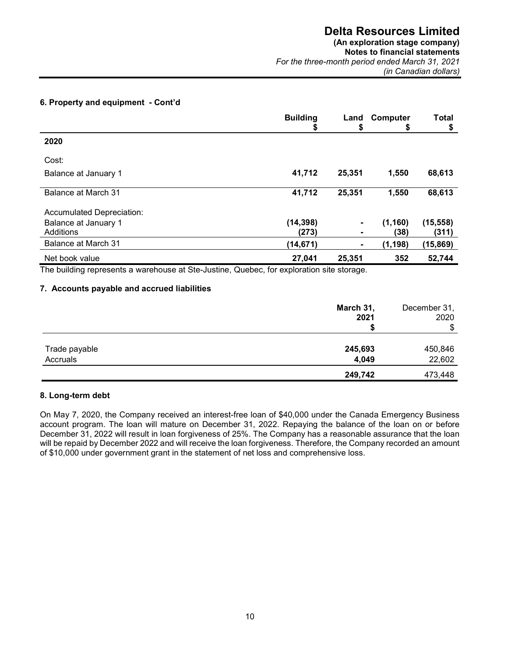# **(An exploration stage company)**

**Notes to financial statements**  *For the three-month period ended March 31, 2021 (in Canadian dollars)* 

# **6. Property and equipment - Cont'd**

|                           | <b>Building</b><br>Φ | Land<br>\$     | Computer<br>\$ | <b>Total</b><br>\$ |
|---------------------------|----------------------|----------------|----------------|--------------------|
| 2020                      |                      |                |                |                    |
| Cost:                     |                      |                |                |                    |
| Balance at January 1      | 41,712               | 25,351         | 1,550          | 68,613             |
| Balance at March 31       | 41,712               | 25,351         | 1,550          | 68,613             |
| Accumulated Depreciation: |                      |                |                |                    |
| Balance at January 1      | (14, 398)            | $\blacksquare$ | (1, 160)       | (15, 558)          |
| Additions                 | (273)                |                | (38)           | (311)              |
| Balance at March 31       | (14, 671)            | ۰              | (1, 198)       | (15, 869)          |
| Net book value            | 27,041               | 25,351         | 352            | 52,744             |

The building represents a warehouse at Ste-Justine, Quebec, for exploration site storage.

#### **7. Accounts payable and accrued liabilities**

|               | March 31,<br>2021 | December 31,<br>2020 |
|---------------|-------------------|----------------------|
|               |                   | \$                   |
| Trade payable | 245,693           | 450,846              |
| Accruals      | 4,049             | 22,602               |
|               | 249,742           | 473,448              |

# **8. Long-term debt**

On May 7, 2020, the Company received an interest-free loan of \$40,000 under the Canada Emergency Business account program. The loan will mature on December 31, 2022. Repaying the balance of the loan on or before December 31, 2022 will result in loan forgiveness of 25%. The Company has a reasonable assurance that the loan will be repaid by December 2022 and will receive the loan forgiveness. Therefore, the Company recorded an amount of \$10,000 under government grant in the statement of net loss and comprehensive loss.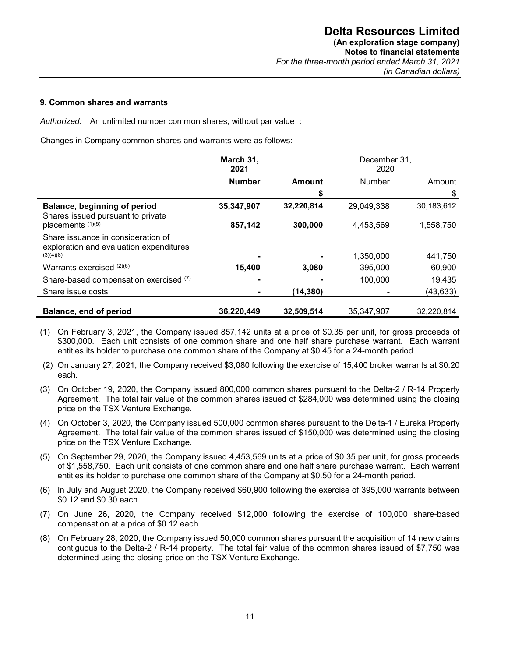#### **9. Common shares and warrants**

*Authorized:* An unlimited number common shares, without par value :

Changes in Company common shares and warrants were as follows:

|                                                                               | March 31,<br>2021 |            | December 31,<br>2020 |            |
|-------------------------------------------------------------------------------|-------------------|------------|----------------------|------------|
|                                                                               | <b>Number</b>     | Amount     | <b>Number</b>        | Amount     |
|                                                                               |                   | \$         |                      | \$         |
| Balance, beginning of period<br>Shares issued pursuant to private             | 35,347,907        | 32,220,814 | 29,049,338           | 30,183,612 |
| placements (1)(5)                                                             | 857,142           | 300,000    | 4,453,569            | 1,558,750  |
| Share issuance in consideration of<br>exploration and evaluation expenditures |                   |            |                      |            |
| (3)(4)(8)                                                                     |                   |            | 1,350,000            | 441,750    |
| Warrants exercised $(2)(6)$                                                   | 15,400            | 3,080      | 395,000              | 60,900     |
| Share-based compensation exercised (7)                                        |                   |            | 100,000              | 19,435     |
| Share issue costs                                                             |                   | (14, 380)  |                      | (43, 633)  |
|                                                                               |                   |            |                      |            |
| Balance, end of period                                                        | 36,220,449        | 32,509,514 | 35.347.907           | 32,220,814 |

- (1) On February 3, 2021, the Company issued 857,142 units at a price of \$0.35 per unit, for gross proceeds of \$300,000. Each unit consists of one common share and one half share purchase warrant. Each warrant entitles its holder to purchase one common share of the Company at \$0.45 for a 24-month period.
- (2) On January 27, 2021, the Company received \$3,080 following the exercise of 15,400 broker warrants at \$0.20 each.
- (3) On October 19, 2020, the Company issued 800,000 common shares pursuant to the Delta-2 / R-14 Property Agreement. The total fair value of the common shares issued of \$284,000 was determined using the closing price on the TSX Venture Exchange.
- (4) On October 3, 2020, the Company issued 500,000 common shares pursuant to the Delta-1 / Eureka Property Agreement. The total fair value of the common shares issued of \$150,000 was determined using the closing price on the TSX Venture Exchange.
- (5) On September 29, 2020, the Company issued 4,453,569 units at a price of \$0.35 per unit, for gross proceeds of \$1,558,750. Each unit consists of one common share and one half share purchase warrant. Each warrant entitles its holder to purchase one common share of the Company at \$0.50 for a 24-month period.
- (6) In July and August 2020, the Company received \$60,900 following the exercise of 395,000 warrants between \$0.12 and \$0.30 each.
- (7) On June 26, 2020, the Company received \$12,000 following the exercise of 100,000 share-based compensation at a price of \$0.12 each.
- (8) On February 28, 2020, the Company issued 50,000 common shares pursuant the acquisition of 14 new claims contiguous to the Delta-2 / R-14 property. The total fair value of the common shares issued of \$7,750 was determined using the closing price on the TSX Venture Exchange.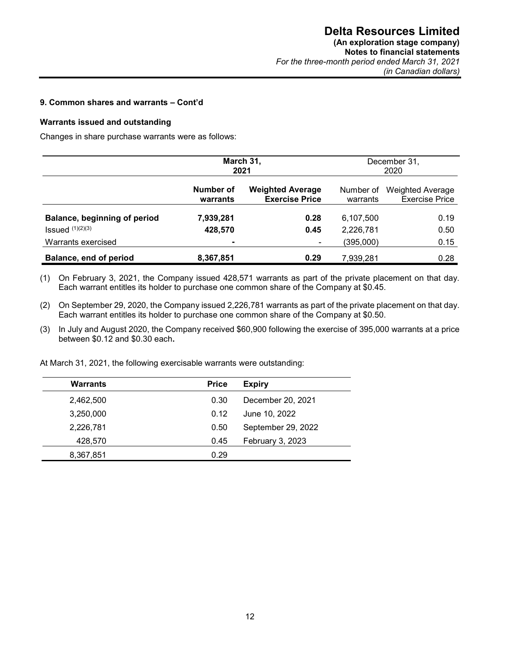# **9. Common shares and warrants – Cont'd**

#### **Warrants issued and outstanding**

Changes in share purchase warrants were as follows:

|                              | March 31,<br>2021     |                                                  |                       | December 31,<br>2020                             |
|------------------------------|-----------------------|--------------------------------------------------|-----------------------|--------------------------------------------------|
|                              | Number of<br>warrants | <b>Weighted Average</b><br><b>Exercise Price</b> | Number of<br>warrants | <b>Weighted Average</b><br><b>Exercise Price</b> |
| Balance, beginning of period | 7,939,281             | 0.28                                             | 6,107,500             | 0.19                                             |
| $Issued$ $(1)(2)(3)$         | 428,570               | 0.45                                             | 2,226,781             | 0.50                                             |
| Warrants exercised           | $\blacksquare$        |                                                  | (395,000)             | 0.15                                             |
| Balance, end of period       | 8,367,851             | 0.29                                             | 7,939,281             | 0.28                                             |

(1) On February 3, 2021, the Company issued 428,571 warrants as part of the private placement on that day. Each warrant entitles its holder to purchase one common share of the Company at \$0.45.

- (2) On September 29, 2020, the Company issued 2,226,781 warrants as part of the private placement on that day. Each warrant entitles its holder to purchase one common share of the Company at \$0.50.
- (3) In July and August 2020, the Company received \$60,900 following the exercise of 395,000 warrants at a price between \$0.12 and \$0.30 each**.**

At March 31, 2021, the following exercisable warrants were outstanding:

| <b>Warrants</b> | <b>Price</b> | <b>Expiry</b>      |
|-----------------|--------------|--------------------|
| 2,462,500       | 0.30         | December 20, 2021  |
| 3,250,000       | 0.12         | June 10, 2022      |
| 2,226,781       | 0.50         | September 29, 2022 |
| 428,570         | 0.45         | February 3, 2023   |
| 8,367,851       | 0.29         |                    |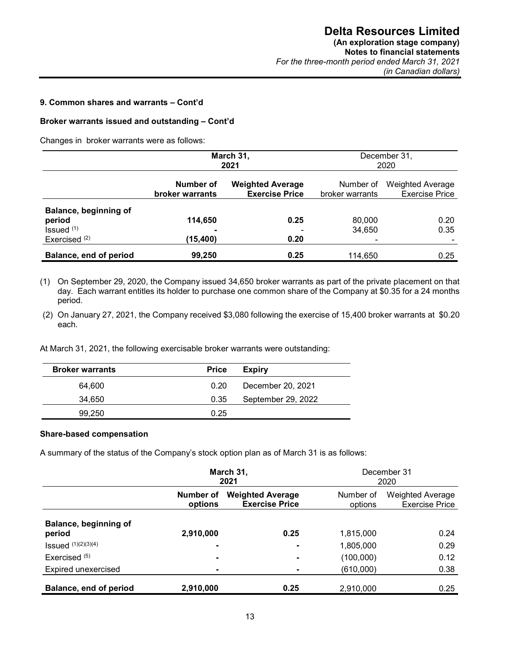### **9. Common shares and warrants – Cont'd**

#### **Broker warrants issued and outstanding – Cont'd**

Changes in broker warrants were as follows:

|                                                           | March 31,<br>2021                   |                                                  |                              | December 31,<br>2020                             |
|-----------------------------------------------------------|-------------------------------------|--------------------------------------------------|------------------------------|--------------------------------------------------|
|                                                           | Number of<br><b>broker warrants</b> | <b>Weighted Average</b><br><b>Exercise Price</b> | Number of<br>broker warrants | <b>Weighted Average</b><br><b>Exercise Price</b> |
| Balance, beginning of<br>period<br>Is sued <sup>(1)</sup> | 114,650<br>$\overline{\phantom{0}}$ | 0.25                                             | 80,000<br>34,650             | 0.20<br>0.35                                     |
| Exercised $(2)$                                           | (15,400)                            | 0.20                                             |                              |                                                  |
| Balance, end of period                                    | 99,250                              | 0.25                                             | 114.650                      | 0.25                                             |

(1) On September 29, 2020, the Company issued 34,650 broker warrants as part of the private placement on that day. Each warrant entitles its holder to purchase one common share of the Company at \$0.35 for a 24 months period.

(2) On January 27, 2021, the Company received \$3,080 following the exercise of 15,400 broker warrants at \$0.20 each.

At March 31, 2021, the following exercisable broker warrants were outstanding:

| <b>Broker warrants</b> | <b>Price</b> | <b>Expiry</b>      |
|------------------------|--------------|--------------------|
| 64.600                 | 0.20         | December 20, 2021  |
| 34.650                 | 0.35         | September 29, 2022 |
| 99.250                 | 0.25         |                    |

#### **Share-based compensation**

A summary of the status of the Company's stock option plan as of March 31 is as follows:

|                                 | March 31,<br>2021    |                                                  | December 31<br>2020  |                                           |
|---------------------------------|----------------------|--------------------------------------------------|----------------------|-------------------------------------------|
|                                 | Number of<br>options | <b>Weighted Average</b><br><b>Exercise Price</b> | Number of<br>options | Weighted Average<br><b>Exercise Price</b> |
| Balance, beginning of<br>period | 2,910,000            | 0.25                                             | 1,815,000            | 0.24                                      |
| <b>Issued</b> $(1)(2)(3)(4)$    | ۰                    | ۰                                                | 1,805,000            | 0.29                                      |
| Exercised $(5)$                 | ۰                    | ۰                                                | (100,000)            | 0.12                                      |
| Expired unexercised             |                      |                                                  | (610,000)            | 0.38                                      |
| Balance, end of period          | 2,910,000            | 0.25                                             | 2,910,000            | 0.25                                      |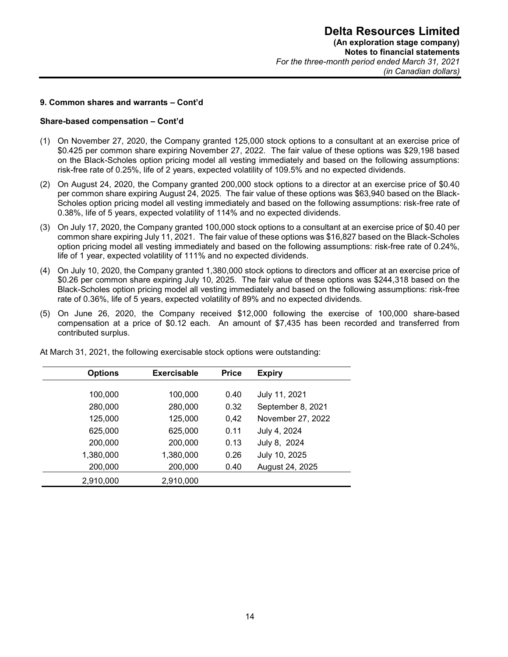#### **9. Common shares and warrants – Cont'd**

#### **Share-based compensation – Cont'd**

- (1) On November 27, 2020, the Company granted 125,000 stock options to a consultant at an exercise price of \$0.425 per common share expiring November 27, 2022. The fair value of these options was \$29,198 based on the Black-Scholes option pricing model all vesting immediately and based on the following assumptions: risk-free rate of 0.25%, life of 2 years, expected volatility of 109.5% and no expected dividends.
- (2) On August 24, 2020, the Company granted 200,000 stock options to a director at an exercise price of \$0.40 per common share expiring August 24, 2025. The fair value of these options was \$63,940 based on the Black-Scholes option pricing model all vesting immediately and based on the following assumptions: risk-free rate of 0.38%, life of 5 years, expected volatility of 114% and no expected dividends.
- (3) On July 17, 2020, the Company granted 100,000 stock options to a consultant at an exercise price of \$0.40 per common share expiring July 11, 2021. The fair value of these options was \$16,827 based on the Black-Scholes option pricing model all vesting immediately and based on the following assumptions: risk-free rate of 0.24%, life of 1 year, expected volatility of 111% and no expected dividends.
- (4) On July 10, 2020, the Company granted 1,380,000 stock options to directors and officer at an exercise price of \$0.26 per common share expiring July 10, 2025. The fair value of these options was \$244,318 based on the Black-Scholes option pricing model all vesting immediately and based on the following assumptions: risk-free rate of 0.36%, life of 5 years, expected volatility of 89% and no expected dividends.
- (5) On June 26, 2020, the Company received \$12,000 following the exercise of 100,000 share-based compensation at a price of \$0.12 each. An amount of \$7,435 has been recorded and transferred from contributed surplus.

| <b>Options</b> | <b>Exercisable</b> | <b>Price</b> | <b>Expiry</b>     |
|----------------|--------------------|--------------|-------------------|
| 100,000        | 100,000            | 0.40         | July 11, 2021     |
| 280,000        | 280,000            | 0.32         | September 8, 2021 |
| 125,000        | 125,000            | 0,42         | November 27, 2022 |
| 625,000        | 625,000            | 0.11         | July 4, 2024      |
| 200,000        | 200,000            | 0.13         | July 8, 2024      |
| 1,380,000      | 1,380,000          | 0.26         | July 10, 2025     |
| 200,000        | 200,000            | 0.40         | August 24, 2025   |
| 2,910,000      | 2,910,000          |              |                   |

At March 31, 2021, the following exercisable stock options were outstanding: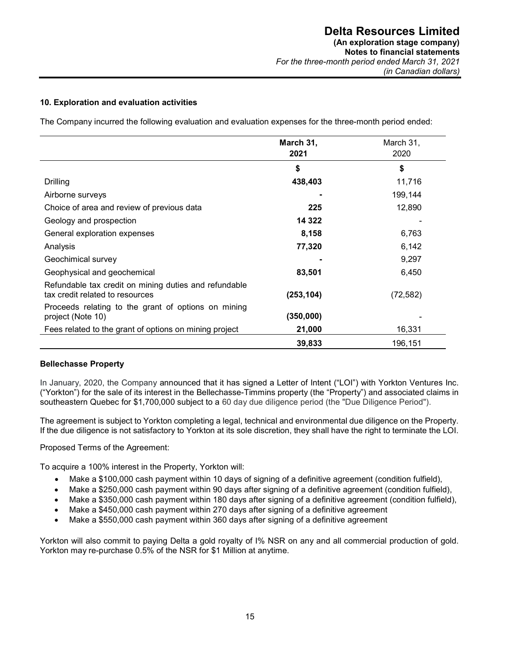# **10. Exploration and evaluation activities**

The Company incurred the following evaluation and evaluation expenses for the three-month period ended:

|                                                                                          | March 31,<br>2021 | March 31,<br>2020 |
|------------------------------------------------------------------------------------------|-------------------|-------------------|
|                                                                                          | \$                | \$                |
| Drilling                                                                                 | 438,403           | 11,716            |
| Airborne surveys                                                                         |                   | 199,144           |
| Choice of area and review of previous data                                               | 225               | 12,890            |
| Geology and prospection                                                                  | 14 3 22           |                   |
| General exploration expenses                                                             | 8,158             | 6,763             |
| Analysis                                                                                 | 77,320            | 6,142             |
| Geochimical survey                                                                       |                   | 9,297             |
| Geophysical and geochemical                                                              | 83,501            | 6,450             |
| Refundable tax credit on mining duties and refundable<br>tax credit related to resources | (253, 104)        | (72, 582)         |
| Proceeds relating to the grant of options on mining<br>project (Note 10)                 | (350,000)         |                   |
| Fees related to the grant of options on mining project                                   | 21,000            | 16,331            |
|                                                                                          | 39,833            | 196,151           |

#### **Bellechasse Property**

In January, 2020, the Company announced that it has signed a Letter of Intent ("LOI") with Yorkton Ventures Inc. ("Yorkton") for the sale of its interest in the Bellechasse-Timmins property (the "Property") and associated claims in southeastern Quebec for \$1,700,000 subject to a 60 day due diligence period (the "Due Diligence Period").

The agreement is subject to Yorkton completing a legal, technical and environmental due diligence on the Property. If the due diligence is not satisfactory to Yorkton at its sole discretion, they shall have the right to terminate the LOI.

#### Proposed Terms of the Agreement:

To acquire a 100% interest in the Property, Yorkton will:

- Make a \$100,000 cash payment within 10 days of signing of a definitive agreement (condition fulfield),
- Make a \$250,000 cash payment within 90 days after signing of a definitive agreement (condition fulfield),
- Make a \$350,000 cash payment within 180 days after signing of a definitive agreement (condition fulfield),
- Make a \$450,000 cash payment within 270 days after signing of a definitive agreement
- Make a \$550,000 cash payment within 360 days after signing of a definitive agreement

Yorkton will also commit to paying Delta a gold royalty of I% NSR on any and all commercial production of gold. Yorkton may re-purchase 0.5% of the NSR for \$1 Million at anytime.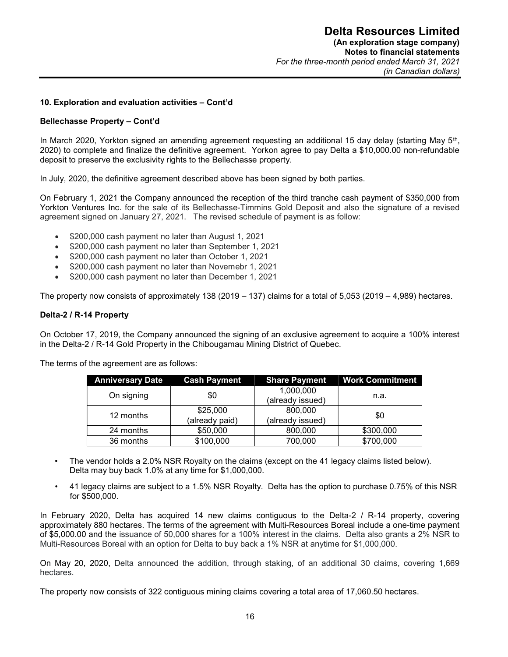#### **10. Exploration and evaluation activities – Cont'd**

#### **Bellechasse Property – Cont'd**

In March 2020, Yorkton signed an amending agreement requesting an additional 15 day delay (starting May 5<sup>th</sup>, 2020) to complete and finalize the definitive agreement. Yorkon agree to pay Delta a \$10,000.00 non-refundable deposit to preserve the exclusivity rights to the Bellechasse property.

In July, 2020, the definitive agreement described above has been signed by both parties.

On February 1, 2021 the Company announced the reception of the third tranche cash payment of \$350,000 from Yorkton Ventures Inc. for the sale of its Bellechasse-Timmins Gold Deposit and also the signature of a revised agreement signed on January 27, 2021. The revised schedule of payment is as follow:

- \$200,000 cash payment no later than August 1, 2021
- \$200,000 cash payment no later than September 1, 2021
- \$200,000 cash payment no later than October 1, 2021
- \$200,000 cash payment no later than Novemebr 1, 2021
- \$200,000 cash payment no later than December 1, 2021

The property now consists of approximately 138 (2019 – 137) claims for a total of 5,053 (2019 – 4,989) hectares.

#### **Delta-2 / R-14 Property**

On October 17, 2019, the Company announced the signing of an exclusive agreement to acquire a 100% interest in the Delta-2 / R-14 Gold Property in the Chibougamau Mining District of Quebec.

The terms of the agreement are as follows:

| <b>Anniversary Date</b> | <b>Cash Payment</b>        | <b>Share Payment</b>          | <b>Work Commitment</b> |
|-------------------------|----------------------------|-------------------------------|------------------------|
| On signing              | \$0                        | 1,000,000<br>(already issued) | n.a.                   |
| 12 months               | \$25,000<br>(already paid) | 800,000<br>(already issued)   | \$0                    |
| 24 months               | \$50,000                   | 800,000                       | \$300,000              |
| 36 months               | \$100,000                  | 700,000                       | \$700,000              |

- The vendor holds a 2.0% NSR Royalty on the claims (except on the 41 legacy claims listed below). Delta may buy back 1.0% at any time for \$1,000,000.
- 41 legacy claims are subject to a 1.5% NSR Royalty. Delta has the option to purchase 0.75% of this NSR for \$500,000.

In February 2020, Delta has acquired 14 new claims contiguous to the Delta-2 / R-14 property, covering approximately 880 hectares. The terms of the agreement with Multi-Resources Boreal include a one-time payment of \$5,000.00 and the issuance of 50,000 shares for a 100% interest in the claims. Delta also grants a 2% NSR to Multi-Resources Boreal with an option for Delta to buy back a 1% NSR at anytime for \$1,000,000.

On May 20, 2020, Delta announced the addition, through staking, of an additional 30 claims, covering 1,669 hectares.

The property now consists of 322 contiguous mining claims covering a total area of 17,060.50 hectares.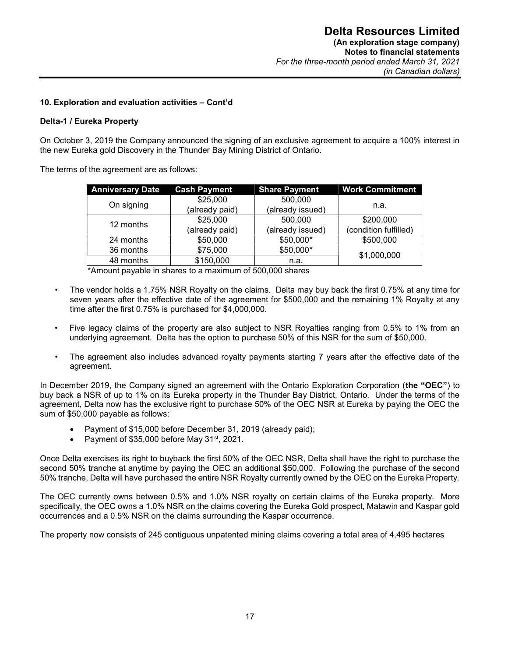#### **10. Exploration and evaluation activities – Cont'd**

#### **Delta-1 / Eureka Property**

On October 3, 2019 the Company announced the signing of an exclusive agreement to acquire a 100% interest in the new Eureka gold Discovery in the Thunder Bay Mining District of Ontario.

The terms of the agreement are as follows:

| <b>Anniversary Date</b> | <b>Cash Payment</b> | <b>Share Payment</b> | <b>Work Commitment</b> |  |
|-------------------------|---------------------|----------------------|------------------------|--|
| On signing              | \$25,000            | 500,000              |                        |  |
|                         | (already paid)      | (already issued)     | n.a.                   |  |
| 12 months               | \$25,000            | 500,000              | \$200,000              |  |
|                         | (already paid)      | (already issued)     | (condition fulfilled)  |  |
| 24 months               | \$50,000            | \$50,000*            | \$500,000              |  |
| 36 months               | \$75,000            | \$50,000*            | \$1,000,000            |  |
| 48 months               | \$150,000           | n.a.                 |                        |  |

\*Amount payable in shares to a maximum of 500,000 shares

- The vendor holds a 1.75% NSR Royalty on the claims. Delta may buy back the first 0.75% at any time for seven years after the effective date of the agreement for \$500,000 and the remaining 1% Royalty at any time after the first 0.75% is purchased for \$4,000,000.
- Five legacy claims of the property are also subject to NSR Royalties ranging from 0.5% to 1% from an underlying agreement. Delta has the option to purchase 50% of this NSR for the sum of \$50,000.
- The agreement also includes advanced royalty payments starting 7 years after the effective date of the agreement.

In December 2019, the Company signed an agreement with the Ontario Exploration Corporation (**the "OEC"**) to buy back a NSR of up to 1% on its Eureka property in the Thunder Bay District, Ontario. Under the terms of the agreement, Delta now has the exclusive right to purchase 50% of the OEC NSR at Eureka by paying the OEC the sum of \$50,000 payable as follows:

- Payment of \$15,000 before December 31, 2019 (already paid);
- Payment of \$35,000 before May 31<sup>st</sup>, 2021.

Once Delta exercises its right to buyback the first 50% of the OEC NSR, Delta shall have the right to purchase the second 50% tranche at anytime by paying the OEC an additional \$50,000. Following the purchase of the second 50% tranche, Delta will have purchased the entire NSR Royalty currently owned by the OEC on the Eureka Property.

The OEC currently owns between 0.5% and 1.0% NSR royalty on certain claims of the Eureka property. More specifically, the OEC owns a 1.0% NSR on the claims covering the Eureka Gold prospect, Matawin and Kaspar gold occurrences and a 0.5% NSR on the claims surrounding the Kaspar occurrence.

The property now consists of 245 contiguous unpatented mining claims covering a total area of 4,495 hectares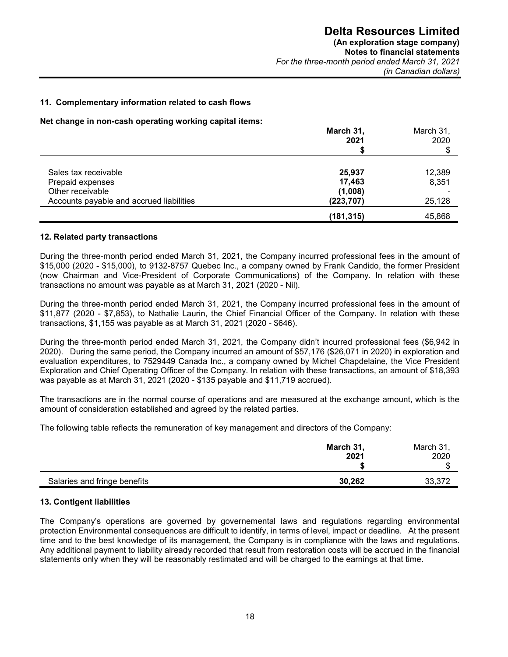#### **11. Complementary information related to cash flows**

**Net change in non-cash operating working capital items:** 

|                                          | March 31,<br>2021 | March 31,<br>2020 |  |
|------------------------------------------|-------------------|-------------------|--|
|                                          |                   | \$                |  |
| Sales tax receivable                     | 25,937            | 12,389            |  |
| Prepaid expenses                         | 17,463            | 8,351             |  |
| Other receivable                         | (1,008)           |                   |  |
| Accounts payable and accrued liabilities | (223, 707)        | 25,128            |  |
|                                          | (181, 315)        | 45,868            |  |

#### **12. Related party transactions**

During the three-month period ended March 31, 2021, the Company incurred professional fees in the amount of \$15,000 (2020 - \$15,000), to 9132-8757 Quebec Inc., a company owned by Frank Candido, the former President (now Chairman and Vice-President of Corporate Communications) of the Company. In relation with these transactions no amount was payable as at March 31, 2021 (2020 - Nil).

During the three-month period ended March 31, 2021, the Company incurred professional fees in the amount of \$11,877 (2020 - \$7,853), to Nathalie Laurin, the Chief Financial Officer of the Company. In relation with these transactions, \$1,155 was payable as at March 31, 2021 (2020 - \$646).

During the three-month period ended March 31, 2021, the Company didn't incurred professional fees (\$6,942 in 2020). During the same period, the Company incurred an amount of \$57,176 (\$26,071 in 2020) in exploration and evaluation expenditures, to 7529449 Canada Inc., a company owned by Michel Chapdelaine, the Vice President Exploration and Chief Operating Officer of the Company. In relation with these transactions, an amount of \$18,393 was payable as at March 31, 2021 (2020 - \$135 payable and \$11,719 accrued).

The transactions are in the normal course of operations and are measured at the exchange amount, which is the amount of consideration established and agreed by the related parties.

The following table reflects the remuneration of key management and directors of the Company:

|                              | March 31,<br>2021 | March 31,<br>2020<br>ጦ<br>Œ |
|------------------------------|-------------------|-----------------------------|
| Salaries and fringe benefits | 30,262            | 33,372                      |

# **13. Contigent liabilities**

The Company's operations are governed by governemental laws and regulations regarding environmental protection Environmental consequences are difficult to identify, in terms of level, impact or deadline. At the present time and to the best knowledge of its management, the Company is in compliance with the laws and regulations. Any additional payment to liability already recorded that result from restoration costs will be accrued in the financial statements only when they will be reasonably restimated and will be charged to the earnings at that time.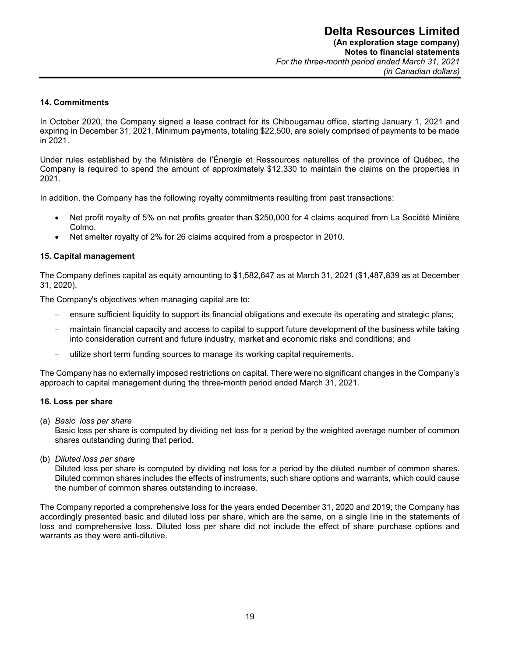#### **14. Commitments**

In October 2020, the Company signed a lease contract for its Chibougamau office, starting January 1, 2021 and expiring in December 31, 2021. Minimum payments, totaling \$22,500, are solely comprised of payments to be made in 2021.

Under rules established by the Ministère de l'Énergie et Ressources naturelles of the province of Québec, the Company is required to spend the amount of approximately \$12,330 to maintain the claims on the properties in 2021.

In addition, the Company has the following royalty commitments resulting from past transactions:

- Net profit royalty of 5% on net profits greater than \$250,000 for 4 claims acquired from La Société Minière Colmo.
- Net smelter royalty of 2% for 26 claims acquired from a prospector in 2010.

#### **15. Capital management**

The Company defines capital as equity amounting to \$1,582,647 as at March 31, 2021 (\$1,487,839 as at December 31, 2020).

The Company's objectives when managing capital are to:

- ensure sufficient liquidity to support its financial obligations and execute its operating and strategic plans;
- maintain financial capacity and access to capital to support future development of the business while taking into consideration current and future industry, market and economic risks and conditions; and
- utilize short term funding sources to manage its working capital requirements.

The Company has no externally imposed restrictions on capital. There were no significant changes in the Company's approach to capital management during the three-month period ended March 31, 2021.

#### **16. Loss per share**

(a) *Basic loss per share* 

Basic loss per share is computed by dividing net loss for a period by the weighted average number of common shares outstanding during that period.

(b) *Diluted loss per share* 

Diluted loss per share is computed by dividing net loss for a period by the diluted number of common shares. Diluted common shares includes the effects of instruments, such share options and warrants, which could cause the number of common shares outstanding to increase.

The Company reported a comprehensive loss for the years ended December 31, 2020 and 2019; the Company has accordingly presented basic and diluted loss per share, which are the same, on a single line in the statements of loss and comprehensive loss. Diluted loss per share did not include the effect of share purchase options and warrants as they were anti-dilutive.